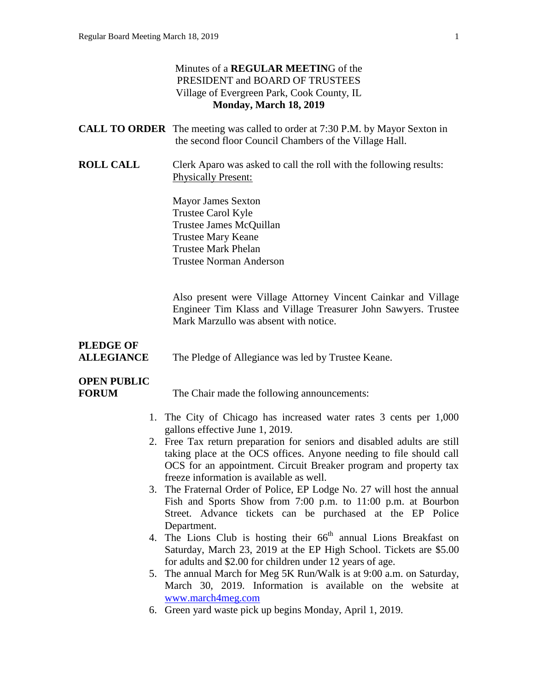### Minutes of a **REGULAR MEETIN**G of the PRESIDENT and BOARD OF TRUSTEES Village of Evergreen Park, Cook County, IL **Monday, March 18, 2019**

|                                       | <b>CALL TO ORDER</b> The meeting was called to order at 7:30 P.M. by Mayor Sexton in<br>the second floor Council Chambers of the Village Hall.                                                                                                                  |
|---------------------------------------|-----------------------------------------------------------------------------------------------------------------------------------------------------------------------------------------------------------------------------------------------------------------|
| <b>ROLL CALL</b>                      | Clerk Aparo was asked to call the roll with the following results:<br><b>Physically Present:</b>                                                                                                                                                                |
|                                       | <b>Mayor James Sexton</b><br>Trustee Carol Kyle<br>Trustee James McQuillan<br><b>Trustee Mary Keane</b><br><b>Trustee Mark Phelan</b><br><b>Trustee Norman Anderson</b>                                                                                         |
|                                       | Also present were Village Attorney Vincent Cainkar and Village<br>Engineer Tim Klass and Village Treasurer John Sawyers. Trustee<br>Mark Marzullo was absent with notice.                                                                                       |
| <b>PLEDGE OF</b><br><b>ALLEGIANCE</b> | The Pledge of Allegiance was led by Trustee Keane.                                                                                                                                                                                                              |
| <b>OPEN PUBLIC</b><br><b>FORUM</b>    | The Chair made the following announcements:                                                                                                                                                                                                                     |
|                                       | 1. The City of Chicago has increased water rates 3 cents per 1,000<br>gallons effective June 1, 2019.                                                                                                                                                           |
|                                       | 2. Free Tax return preparation for seniors and disabled adults are still<br>taking place at the OCS offices. Anyone needing to file should call<br>OCS for an appointment. Circuit Breaker program and property tax<br>freeze information is available as well. |
|                                       | 3. The Fraternal Order of Police, EP Lodge No. 27 will host the annual<br>Fish and Sports Show from $7.00 \text{ nm}$ to $11.00 \text{ nm}$ at Bourbon                                                                                                          |

- Fish and Sports Show from 7:00 p.m. to 11:00 p.m. at Bourbon Street. Advance tickets can be purchased at the EP Police Department.
- 4. The Lions Club is hosting their 66<sup>th</sup> annual Lions Breakfast on Saturday, March 23, 2019 at the EP High School. Tickets are \$5.00 for adults and \$2.00 for children under 12 years of age.
- 5. The annual March for Meg 5K Run/Walk is at 9:00 a.m. on Saturday, March 30, 2019. Information is available on the website at [www.march4meg.com](http://www.march4meg.com/)
- 6. Green yard waste pick up begins Monday, April 1, 2019.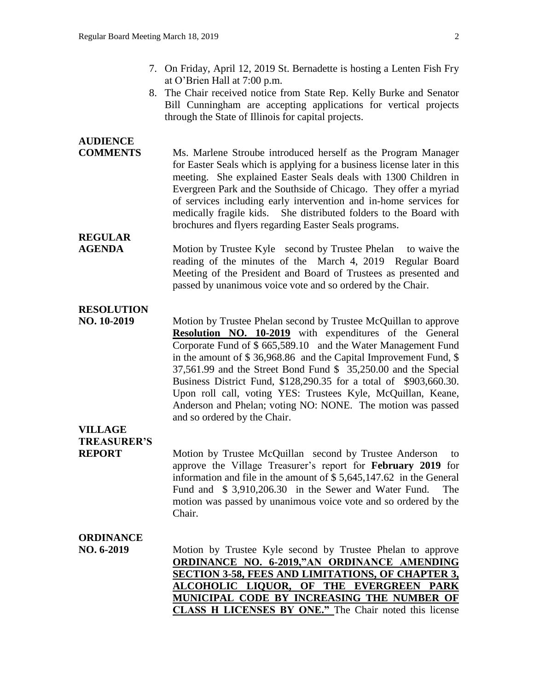- 7. On Friday, April 12, 2019 St. Bernadette is hosting a Lenten Fish Fry at O'Brien Hall at 7:00 p.m.
- 8. The Chair received notice from State Rep. Kelly Burke and Senator Bill Cunningham are accepting applications for vertical projects through the State of Illinois for capital projects.

# **AUDIENCE**

**COMMENTS** Ms. Marlene Stroube introduced herself as the Program Manager for Easter Seals which is applying for a business license later in this meeting. She explained Easter Seals deals with 1300 Children in Evergreen Park and the Southside of Chicago. They offer a myriad of services including early intervention and in-home services for medically fragile kids. She distributed folders to the Board with brochures and flyers regarding Easter Seals programs.

# **REGULAR**

**AGENDA** Motion by Trustee Kyle second by Trustee Phelan to waive the reading of the minutes of the March 4, 2019 Regular Board Meeting of the President and Board of Trustees as presented and passed by unanimous voice vote and so ordered by the Chair.

# **RESOLUTION**

**NO. 10-2019** Motion by Trustee Phelan second by Trustee McQuillan to approve **Resolution NO. 10-2019** with expenditures of the General Corporate Fund of \$ 665,589.10 and the Water Management Fund in the amount of \$ 36,968.86 and the Capital Improvement Fund, \$ 37,561.99 and the Street Bond Fund \$ 35,250.00 and the Special Business District Fund, \$128,290.35 for a total of \$903,660.30. Upon roll call, voting YES: Trustees Kyle, McQuillan, Keane, Anderson and Phelan; voting NO: NONE. The motion was passed and so ordered by the Chair.

# **VILLAGE TREASURER'S**

**REPORT** Motion by Trustee McQuillan second by Trustee Anderson to approve the Village Treasurer's report for **February 2019** for information and file in the amount of \$ 5,645,147.62 in the General Fund and \$ 3,910,206.30 in the Sewer and Water Fund. The motion was passed by unanimous voice vote and so ordered by the Chair.

## **ORDINANCE**

**NO. 6-2019** Motion by Trustee Kyle second by Trustee Phelan to approve **ORDINANCE NO. 6-2019,"AN ORDINANCE AMENDING SECTION 3-58, FEES AND LIMITATIONS, OF CHAPTER 3, ALCOHOLIC LIQUOR, OF THE EVERGREEN PARK MUNICIPAL CODE BY INCREASING THE NUMBER OF CLASS H LICENSES BY ONE."** The Chair noted this license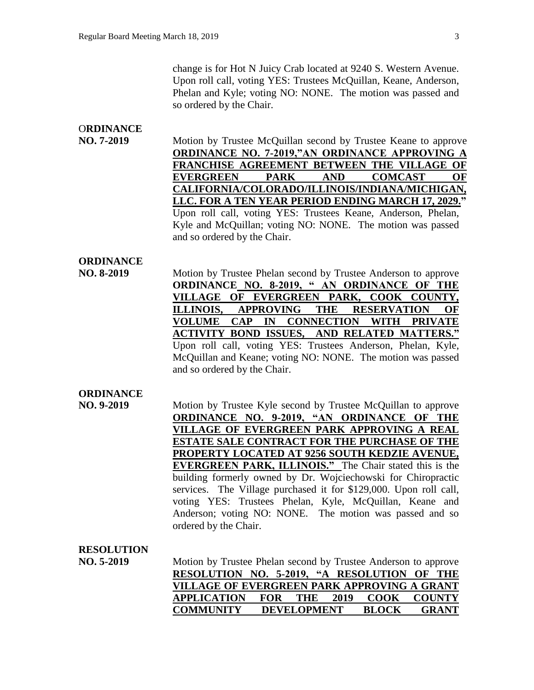change is for Hot N Juicy Crab located at 9240 S. Western Avenue. Upon roll call, voting YES: Trustees McQuillan, Keane, Anderson, Phelan and Kyle; voting NO: NONE. The motion was passed and so ordered by the Chair.

# O**RDINANCE**

**NO. 7-2019** Motion by Trustee McQuillan second by Trustee Keane to approve **ORDINANCE NO. 7-2019,"AN ORDINANCE APPROVING A FRANCHISE AGREEMENT BETWEEN THE VILLAGE OF EVERGREEN PARK AND COMCAST OF CALIFORNIA/COLORADO/ILLINOIS/INDIANA/MICHIGAN, LLC. FOR A TEN YEAR PERIOD ENDING MARCH 17, 2029."**  Upon roll call, voting YES: Trustees Keane, Anderson, Phelan, Kyle and McQuillan; voting NO: NONE. The motion was passed and so ordered by the Chair.

## **ORDINANCE**

**NO. 8-2019** Motion by Trustee Phelan second by Trustee Anderson to approve **ORDINANCE NO. 8-2019, " AN ORDINANCE OF THE VILLAGE OF EVERGREEN PARK, COOK COUNTY, ILLINOIS, APPROVING THE RESERVATION OF VOLUME CAP IN CONNECTION WITH PRIVATE ACTIVITY BOND ISSUES, AND RELATED MATTERS."** Upon roll call, voting YES: Trustees Anderson, Phelan, Kyle, McQuillan and Keane; voting NO: NONE. The motion was passed and so ordered by the Chair.

## **ORDINANCE**

**NO. 9-2019 Motion by Trustee Kyle second by Trustee McQuillan to approve ORDINANCE NO. 9-2019, "AN ORDINANCE OF THE VILLAGE OF EVERGREEN PARK APPROVING A REAL ESTATE SALE CONTRACT FOR THE PURCHASE OF THE PROPERTY LOCATED AT 9256 SOUTH KEDZIE AVENUE, EVERGREEN PARK, ILLINOIS."** The Chair stated this is the building formerly owned by Dr. Wojciechowski for Chiropractic services. The Village purchased it for \$129,000. Upon roll call, voting YES: Trustees Phelan, Kyle, McQuillan, Keane and Anderson; voting NO: NONE. The motion was passed and so ordered by the Chair.

#### **RESOLUTION**

**NO. 5-2019** 

| Motion by Trustee Phelan second by Trustee Anderson to approve |                     |              |                    |
|----------------------------------------------------------------|---------------------|--------------|--------------------|
| RESOLUTION NO. 5-2019, "A RESOLUTION OF THE                    |                     |              |                    |
| VILLAGE OF EVERGREEN PARK APPROVING A GRANT                    |                     |              |                    |
| <b>APPLICATION</b>                                             | <b>FOR THE 2019</b> |              | <b>COOK COUNTY</b> |
| <b>COMMUNITY</b>                                               | <b>DEVELOPMENT</b>  | <b>BLOCK</b> | <b>GRANT</b>       |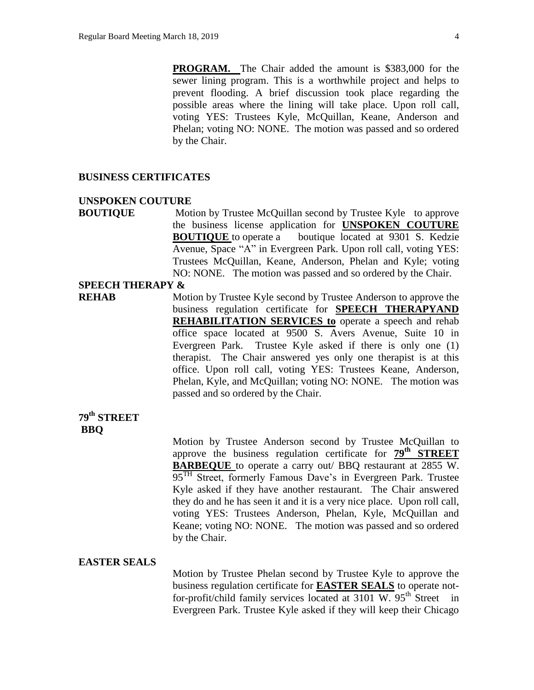**PROGRAM.** The Chair added the amount is \$383,000 for the sewer lining program. This is a worthwhile project and helps to prevent flooding. A brief discussion took place regarding the possible areas where the lining will take place. Upon roll call, voting YES: Trustees Kyle, McQuillan, Keane, Anderson and Phelan; voting NO: NONE. The motion was passed and so ordered by the Chair.

#### **BUSINESS CERTIFICATES**

#### **UNSPOKEN COUTURE**

**BOUTIQUE** Motion by Trustee McQuillan second by Trustee Kyle to approve the business license application for **UNSPOKEN COUTURE BOUTIQUE** to operate a boutique located at 9301 S. Kedzie Avenue, Space "A" in Evergreen Park. Upon roll call, voting YES: Trustees McQuillan, Keane, Anderson, Phelan and Kyle; voting NO: NONE. The motion was passed and so ordered by the Chair.

#### **SPEECH THERAPY &**

**REHAB** Motion by Trustee Kyle second by Trustee Anderson to approve the business regulation certificate for **SPEECH THERAPYAND REHABILITATION SERVICES to** operate a speech and rehab office space located at 9500 S. Avers Avenue, Suite 10 in Evergreen Park. Trustee Kyle asked if there is only one (1) therapist. The Chair answered yes only one therapist is at this office. Upon roll call, voting YES: Trustees Keane, Anderson, Phelan, Kyle, and McQuillan; voting NO: NONE. The motion was passed and so ordered by the Chair.

# **79th STREET BBQ**

Motion by Trustee Anderson second by Trustee McQuillan to approve the business regulation certificate for **79th STREET BARBEQUE** to operate a carry out/ BBQ restaurant at 2855 W. 95<sup>TH</sup> Street, formerly Famous Dave's in Evergreen Park. Trustee Kyle asked if they have another restaurant. The Chair answered they do and he has seen it and it is a very nice place. Upon roll call, voting YES: Trustees Anderson, Phelan, Kyle, McQuillan and Keane; voting NO: NONE. The motion was passed and so ordered by the Chair.

#### **EASTER SEALS**

Motion by Trustee Phelan second by Trustee Kyle to approve the business regulation certificate for **EASTER SEALS** to operate notfor-profit/child family services located at  $3101$  W.  $95<sup>th</sup>$  Street in Evergreen Park. Trustee Kyle asked if they will keep their Chicago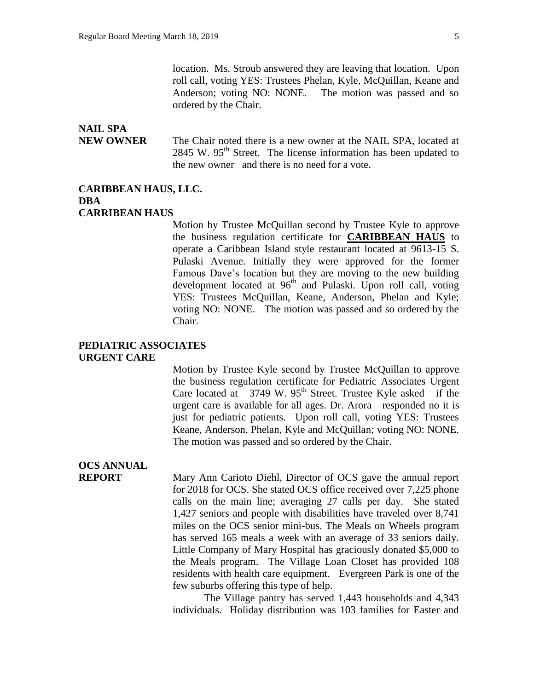# **NAIL SPA**

**NEW OWNER** The Chair noted there is a new owner at the NAIL SPA, located at 2845 W.  $95<sup>th</sup>$  Street. The license information has been updated to the new owner and there is no need for a vote.

#### **CARIBBEAN HAUS, LLC. DBA CARRIBEAN HAUS**

Motion by Trustee McQuillan second by Trustee Kyle to approve the business regulation certificate for **CARIBBEAN HAUS** to operate a Caribbean Island style restaurant located at 9613-15 S. Pulaski Avenue. Initially they were approved for the former Famous Dave's location but they are moving to the new building development located at 96<sup>th</sup> and Pulaski. Upon roll call, voting YES: Trustees McQuillan, Keane, Anderson, Phelan and Kyle; voting NO: NONE. The motion was passed and so ordered by the Chair.

#### **PEDIATRIC ASSOCIATES URGENT CARE**

Motion by Trustee Kyle second by Trustee McQuillan to approve the business regulation certificate for Pediatric Associates Urgent Care located at  $3749 \text{ W}$ .  $95^{\text{th}}$  Street. Trustee Kyle asked if the urgent care is available for all ages. Dr. Arora responded no it is just for pediatric patients. Upon roll call, voting YES: Trustees Keane, Anderson, Phelan, Kyle and McQuillan; voting NO: NONE. The motion was passed and so ordered by the Chair.

# **OCS ANNUAL**

**REPORT** Mary Ann Carioto Diehl, Director of OCS gave the annual report for 2018 for OCS. She stated OCS office received over 7,225 phone calls on the main line; averaging 27 calls per day. She stated 1,427 seniors and people with disabilities have traveled over 8,741 miles on the OCS senior mini-bus. The Meals on Wheels program has served 165 meals a week with an average of 33 seniors daily. Little Company of Mary Hospital has graciously donated \$5,000 to the Meals program. The Village Loan Closet has provided 108 residents with health care equipment. Evergreen Park is one of the few suburbs offering this type of help.

> The Village pantry has served 1,443 households and 4,343 individuals. Holiday distribution was 103 families for Easter and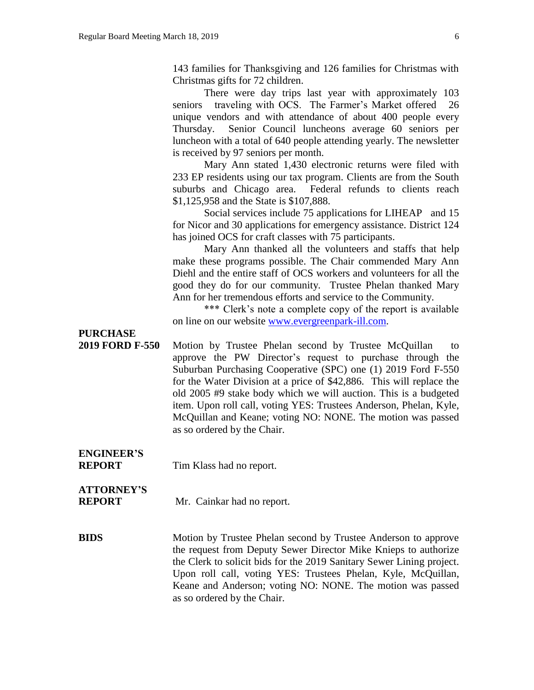143 families for Thanksgiving and 126 families for Christmas with Christmas gifts for 72 children.

There were day trips last year with approximately 103 seniors traveling with OCS. The Farmer's Market offered 26 unique vendors and with attendance of about 400 people every Thursday. Senior Council luncheons average 60 seniors per luncheon with a total of 640 people attending yearly. The newsletter is received by 97 seniors per month.

Mary Ann stated 1,430 electronic returns were filed with 233 EP residents using our tax program. Clients are from the South suburbs and Chicago area. Federal refunds to clients reach \$1,125,958 and the State is \$107,888.

Social services include 75 applications for LIHEAP and 15 for Nicor and 30 applications for emergency assistance. District 124 has joined OCS for craft classes with 75 participants.

Mary Ann thanked all the volunteers and staffs that help make these programs possible. The Chair commended Mary Ann Diehl and the entire staff of OCS workers and volunteers for all the good they do for our community. Trustee Phelan thanked Mary Ann for her tremendous efforts and service to the Community.

\*\*\* Clerk's note a complete copy of the report is available on line on our website [www.evergreenpark-ill.com.](http://www.evergreenpark-ill.com/)

**PURCHASE**

**2019 FORD F-550** Motion by Trustee Phelan second by Trustee McQuillan to approve the PW Director's request to purchase through the Suburban Purchasing Cooperative (SPC) one (1) 2019 Ford F-550 for the Water Division at a price of \$42,886. This will replace the old 2005 #9 stake body which we will auction. This is a budgeted item. Upon roll call, voting YES: Trustees Anderson, Phelan, Kyle, McQuillan and Keane; voting NO: NONE. The motion was passed as so ordered by the Chair.

**ENGINEER'S**

**REPORT** Tim Klass had no report.

# **ATTORNEY'S**

**REPORT** Mr. Cainkar had no report.

**BIDS** Motion by Trustee Phelan second by Trustee Anderson to approve the request from Deputy Sewer Director Mike Knieps to authorize the Clerk to solicit bids for the 2019 Sanitary Sewer Lining project. Upon roll call, voting YES: Trustees Phelan, Kyle, McQuillan, Keane and Anderson; voting NO: NONE. The motion was passed as so ordered by the Chair.